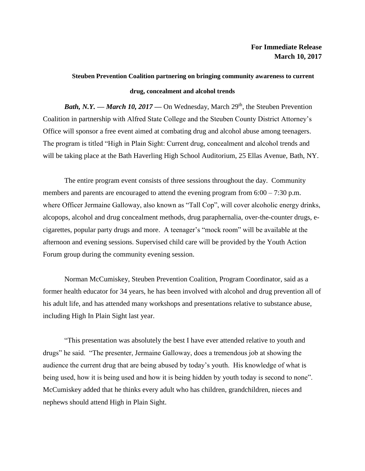## **Steuben Prevention Coalition partnering on bringing community awareness to current drug, concealment and alcohol trends**

*Bath, N.Y.* — *March 10, 2017* — On Wednesday, March 29<sup>th</sup>, the Steuben Prevention Coalition in partnership with Alfred State College and the Steuben County District Attorney's Office will sponsor a free event aimed at combating drug and alcohol abuse among teenagers. The program is titled "High in Plain Sight: Current drug, concealment and alcohol trends and will be taking place at the Bath Haverling High School Auditorium, 25 Ellas Avenue, Bath, NY.

The entire program event consists of three sessions throughout the day. Community members and parents are encouraged to attend the evening program from 6:00 – 7:30 p.m. where Officer Jermaine Galloway, also known as "Tall Cop", will cover alcoholic energy drinks, alcopops, alcohol and drug concealment methods, drug paraphernalia, over-the-counter drugs, ecigarettes, popular party drugs and more. A teenager's "mock room" will be available at the afternoon and evening sessions. Supervised child care will be provided by the Youth Action Forum group during the community evening session.

Norman McCumiskey, Steuben Prevention Coalition, Program Coordinator, said as a former health educator for 34 years, he has been involved with alcohol and drug prevention all of his adult life, and has attended many workshops and presentations relative to substance abuse, including High In Plain Sight last year.

"This presentation was absolutely the best I have ever attended relative to youth and drugs" he said. "The presenter, Jermaine Galloway, does a tremendous job at showing the audience the current drug that are being abused by today's youth. His knowledge of what is being used, how it is being used and how it is being hidden by youth today is second to none". McCumiskey added that he thinks every adult who has children, grandchildren, nieces and nephews should attend High in Plain Sight.